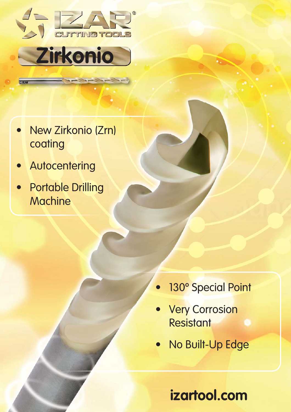



- New Zirkonio (Zrn) coating
- **Autocentering**
- Portable Drilling **Machine**

- 130° Special Point
- **Very Corrosion Resistant**
- No Built-Up Edge

**izartool.com**